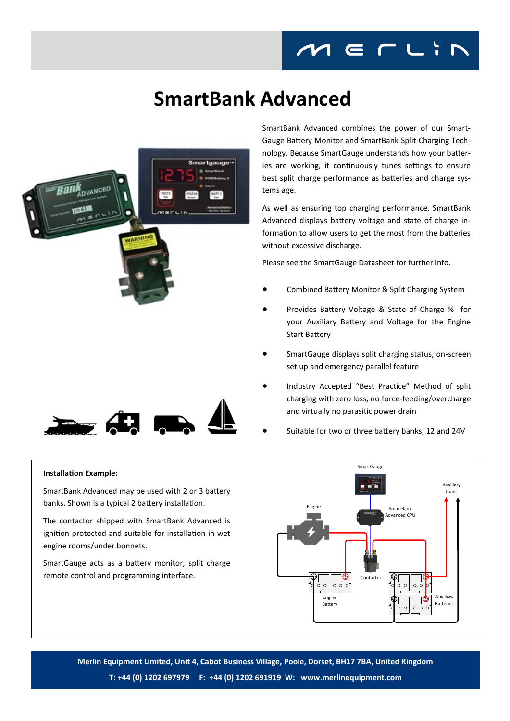## **SmartBank Advanced**





SmartBank Advanced combines the power of our Smart-Gauge Battery Monitor and SmartBank Split Charging Technology. Because SmartGauge understands how your batteries are working, it continuously tunes settings to ensure best split charge performance as batteries and charge systems age.

As well as ensuring top charging performance, SmartBank Advanced displays battery voltage and state of charge information to allow users to get the most from the batteries without excessive discharge.

Please see the SmartGauge Datasheet for further info.

- Combined Battery Monitor & Split Charging System
- Provides Battery Voltage & State of Charge % for your Auxiliary Battery and Voltage for the Engine Start Battery
- SmartGauge displays split charging status, on-screen set up and emergency parallel feature
- Industry Accepted "Best Practice" Method of split charging with zero loss, no force-feeding/overcharge and virtually no parasitic power drain
- Suitable for two or three battery banks, 12 and 24V

## **Installation Example:**

SmartBank Advanced may be used with 2 or 3 battery banks. Shown is a typical 2 battery installation.

The contactor shipped with SmartBank Advanced is ignition protected and suitable for installation in wet engine rooms/under bonnets.

SmartGauge acts as a battery monitor, split charge remote control and programming interface.



**Merlin Equipment Limited, Unit 4, Cabot Business Village, Poole, Dorset, BH17 7BA, United Kingdom T: +44 (0) 1202 697979 F: +44 (0) 1202 691919 W: www.merlinequipment.com**